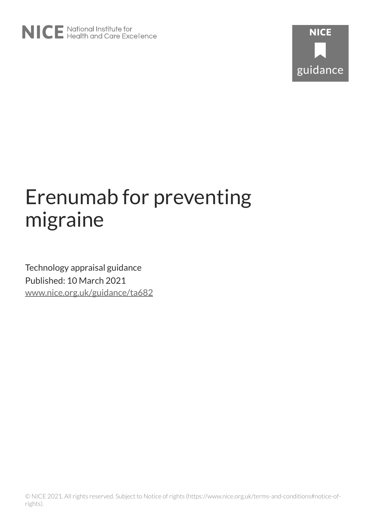

# Erenumab for preventing migraine

Technology appraisal guidance Published: 10 March 2021 [www.nice.org.uk/guidance/ta682](https://www.nice.org.uk/guidance/ta682)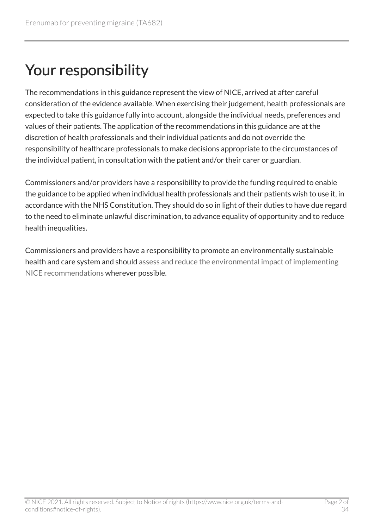# Your responsibility

The recommendations in this guidance represent the view of NICE, arrived at after careful consideration of the evidence available. When exercising their judgement, health professionals are expected to take this guidance fully into account, alongside the individual needs, preferences and values of their patients. The application of the recommendations in this guidance are at the discretion of health professionals and their individual patients and do not override the responsibility of healthcare professionals to make decisions appropriate to the circumstances of the individual patient, in consultation with the patient and/or their carer or guardian.

Commissioners and/or providers have a responsibility to provide the funding required to enable the guidance to be applied when individual health professionals and their patients wish to use it, in accordance with the NHS Constitution. They should do so in light of their duties to have due regard to the need to eliminate unlawful discrimination, to advance equality of opportunity and to reduce health inequalities.

Commissioners and providers have a responsibility to promote an environmentally sustainable health and care system and should [assess and reduce the environmental impact of implementing](https://www.nice.org.uk/about/who-we-are/sustainability)  [NICE recommendations w](https://www.nice.org.uk/about/who-we-are/sustainability)herever possible.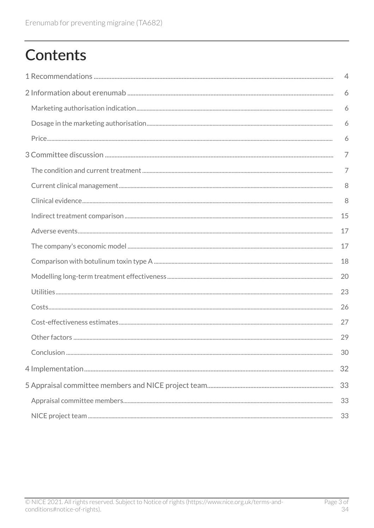# **Contents**

| $\overline{4}$ |
|----------------|
| 6              |
| 6              |
| 6              |
| 6              |
| 7              |
| $\overline{7}$ |
| 8              |
| 8              |
| 15             |
| 17             |
| 17             |
| 18             |
| 20             |
| 23             |
| 26             |
| 27             |
| 29             |
| 30             |
| 32             |
| 33             |
| 33             |
| 33             |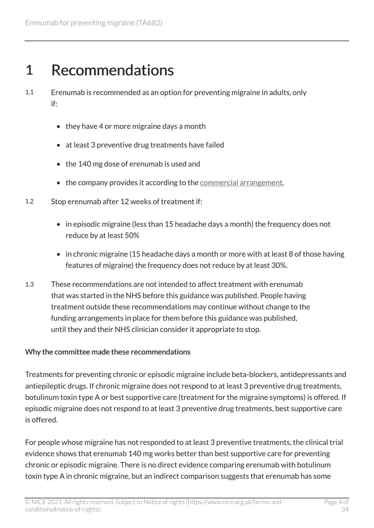# <span id="page-3-0"></span>1 Recommendations

- 1.1 Erenumab is recommended as an option for preventing migraine in adults, only if:
	- they have 4 or more migraine days a month
	- at least 3 preventive drug treatments have failed
	- the 140 mg dose of erenumab is used and
	- the company provides it according to the [commercial arrangement.](https://www.nice.org.uk/guidance/ta682)
- 1.2 Stop erenumab after 12 weeks of treatment if:
	- in episodic migraine (less than 15 headache days a month) the frequency does not reduce by at least 50%
	- in chronic migraine (15 headache days a month or more with at least 8 of those having features of migraine) the frequency does not reduce by at least 30%.
- 1.3 These recommendations are not intended to affect treatment with erenumab that was started in the NHS before this guidance was published. People having treatment outside these recommendations may continue without change to the funding arrangements in place for them before this guidance was published, until they and their NHS clinician consider it appropriate to stop.

#### Why the committee made these recommendations

Treatments for preventing chronic or episodic migraine include beta-blockers, antidepressants and antiepileptic drugs. If chronic migraine does not respond to at least 3 preventive drug treatments, botulinum toxin type A or best supportive care (treatment for the migraine symptoms) is offered. If episodic migraine does not respond to at least 3 preventive drug treatments, best supportive care is offered.

For people whose migraine has not responded to at least 3 preventive treatments, the clinical trial evidence shows that erenumab 140 mg works better than best supportive care for preventing chronic or episodic migraine. There is no direct evidence comparing erenumab with botulinum toxin type A in chronic migraine, but an indirect comparison suggests that erenumab has some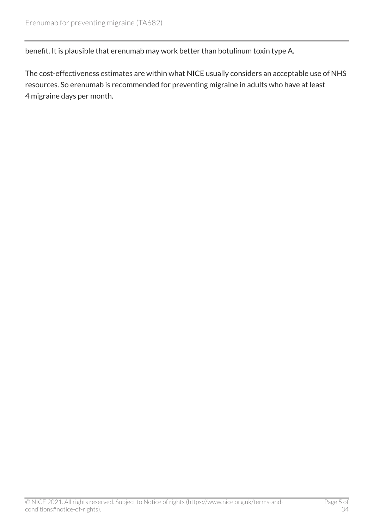benefit. It is plausible that erenumab may work better than botulinum toxin type A.

The cost-effectiveness estimates are within what NICE usually considers an acceptable use of NHS resources. So erenumab is recommended for preventing migraine in adults who have at least 4 migraine days per month.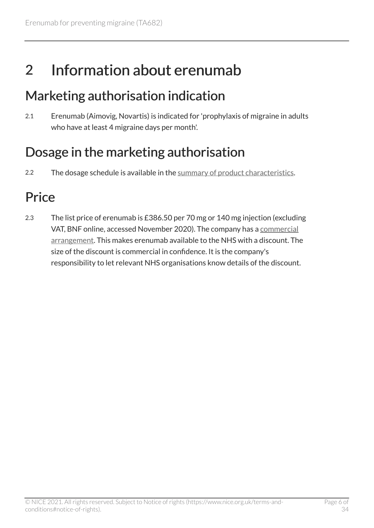# <span id="page-5-0"></span>2 Information about erenumab

### <span id="page-5-1"></span>Marketing authorisation indication

2.1 Erenumab (Aimovig, Novartis) is indicated for 'prophylaxis of migraine in adults who have at least 4 migraine days per month'.

## <span id="page-5-2"></span>Dosage in the marketing authorisation

2.2 The dosage schedule is available in the [summary of product characteristics.](https://www.medicines.org.uk/emc/product/10297/smpc)

# <span id="page-5-3"></span>**Price**

2.3 The list price of erenumab is £386.50 per 70 mg or 140 mg injection (excluding VAT, BNF online, accessed November 2020). The company has a [commercial](https://www.nice.org.uk/guidance/ta682) [arrangement](https://www.nice.org.uk/guidance/ta682). This makes erenumab available to the NHS with a discount. The size of the discount is commercial in confidence. It is the company's responsibility to let relevant NHS organisations know details of the discount.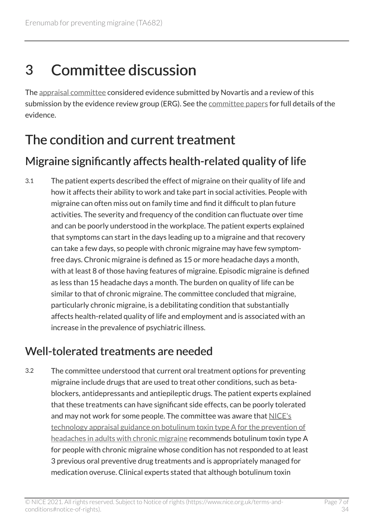# <span id="page-6-0"></span>3 Committee discussion

The [appraisal committee](#page-32-1) considered evidence submitted by Novartis and a review of this submission by the evidence review group (ERG). See the [committee papers](https://www.nice.org.uk/guidance/TA682/evidence) for full details of the evidence.

## <span id="page-6-1"></span>The condition and current treatment

### <span id="page-6-3"></span>Migraine significantly affects health-related quality of life

3.1 The patient experts described the effect of migraine on their quality of life and how it affects their ability to work and take part in social activities. People with migraine can often miss out on family time and find it difficult to plan future activities. The severity and frequency of the condition can fluctuate over time and can be poorly understood in the workplace. The patient experts explained that symptoms can start in the days leading up to a migraine and that recovery can take a few days, so people with chronic migraine may have few symptomfree days. Chronic migraine is defined as 15 or more headache days a month, with at least 8 of those having features of migraine. Episodic migraine is defined as less than 15 headache days a month. The burden on quality of life can be similar to that of chronic migraine. The committee concluded that migraine, particularly chronic migraine, is a debilitating condition that substantially affects health-related quality of life and employment and is associated with an increase in the prevalence of psychiatric illness.

### <span id="page-6-2"></span>Well-tolerated treatments are needed

3.2 The committee understood that current oral treatment options for preventing migraine include drugs that are used to treat other conditions, such as betablockers, antidepressants and antiepileptic drugs. The patient experts explained that these treatments can have significant side effects, can be poorly tolerated and may not work for some people. The committee was aware that [NICE's](https://www.nice.org.uk/guidance/ta260) [technology appraisal guidance on botulinum toxin type](https://www.nice.org.uk/guidance/ta260) A for the prevention of [headaches in adults with chronic migraine](https://www.nice.org.uk/guidance/ta260) recommends botulinum toxin type A for people with chronic migraine whose condition has not responded to at least 3 previous oral preventive drug treatments and is appropriately managed for medication overuse. Clinical experts stated that although botulinum toxin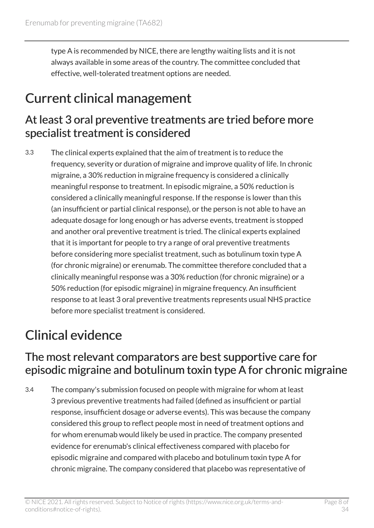type A is recommended by NICE, there are lengthy waiting lists and it is not always available in some areas of the country. The committee concluded that effective, well-tolerated treatment options are needed.

### <span id="page-7-0"></span>Current clinical management

#### <span id="page-7-2"></span>At least 3 oral preventive treatments are tried before more specialist treatment is considered

3.3 The clinical experts explained that the aim of treatment is to reduce the frequency, severity or duration of migraine and improve quality of life. In chronic migraine, a 30% reduction in migraine frequency is considered a clinically meaningful response to treatment. In episodic migraine, a 50% reduction is considered a clinically meaningful response. If the response is lower than this (an insufficient or partial clinical response), or the person is not able to have an adequate dosage for long enough or has adverse events, treatment is stopped and another oral preventive treatment is tried. The clinical experts explained that it is important for people to try a range of oral preventive treatments before considering more specialist treatment, such as botulinum toxin type A (for chronic migraine) or erenumab. The committee therefore concluded that a clinically meaningful response was a 30% reduction (for chronic migraine) or a 50% reduction (for episodic migraine) in migraine frequency. An insufficient response to at least 3 oral preventive treatments represents usual NHS practice before more specialist treatment is considered.

# <span id="page-7-1"></span>Clinical evidence

#### <span id="page-7-3"></span>The most relevant comparators are best supportive care for episodic migraine and botulinum toxin type A for chronic migraine

3.4 The company's submission focused on people with migraine for whom at least 3 previous preventive treatments had failed (defined as insufficient or partial response, insufficient dosage or adverse events). This was because the company considered this group to reflect people most in need of treatment options and for whom erenumab would likely be used in practice. The company presented evidence for erenumab's clinical effectiveness compared with placebo for episodic migraine and compared with placebo and botulinum toxin type A for chronic migraine. The company considered that placebo was representative of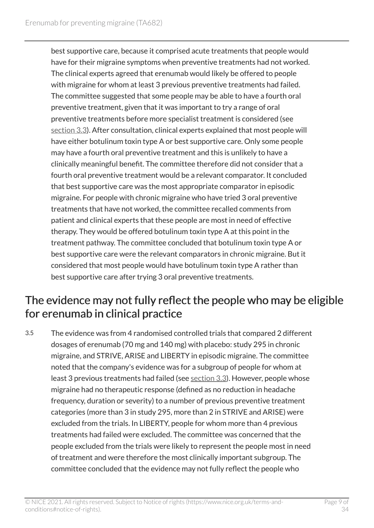best supportive care, because it comprised acute treatments that people would have for their migraine symptoms when preventive treatments had not worked. The clinical experts agreed that erenumab would likely be offered to people with migraine for whom at least 3 previous preventive treatments had failed. The committee suggested that some people may be able to have a fourth oral preventive treatment, given that it was important to try a range of oral preventive treatments before more specialist treatment is considered (see [section](#page-7-2) 3.3). After consultation, clinical experts explained that most people will have either botulinum toxin type A or best supportive care. Only some people may have a fourth oral preventive treatment and this is unlikely to have a clinically meaningful benefit. The committee therefore did not consider that a fourth oral preventive treatment would be a relevant comparator. It concluded that best supportive care was the most appropriate comparator in episodic migraine. For people with chronic migraine who have tried 3 oral preventive treatments that have not worked, the committee recalled comments from patient and clinical experts that these people are most in need of effective therapy. They would be offered botulinum toxin type A at this point in the treatment pathway. The committee concluded that botulinum toxin type A or best supportive care were the relevant comparators in chronic migraine. But it considered that most people would have botulinum toxin type A rather than best supportive care after trying 3 oral preventive treatments.

#### The evidence may not fully reflect the people who may be eligible for erenumab in clinical practice

3.5 The evidence was from 4 randomised controlled trials that compared 2 different dosages of erenumab (70 mg and 140 mg) with placebo: study 295 in chronic migraine, and STRIVE, ARISE and LIBERTY in episodic migraine. The committee noted that the company's evidence was for a subgroup of people for whom at least 3 previous treatments had failed (see [section](#page-7-2) 3.3). However, people whose migraine had no therapeutic response (defined as no reduction in headache frequency, duration or severity) to a number of previous preventive treatment categories (more than 3 in study 295, more than 2 in STRIVE and ARISE) were excluded from the trials. In LIBERTY, people for whom more than 4 previous treatments had failed were excluded. The committee was concerned that the people excluded from the trials were likely to represent the people most in need of treatment and were therefore the most clinically important subgroup. The committee concluded that the evidence may not fully reflect the people who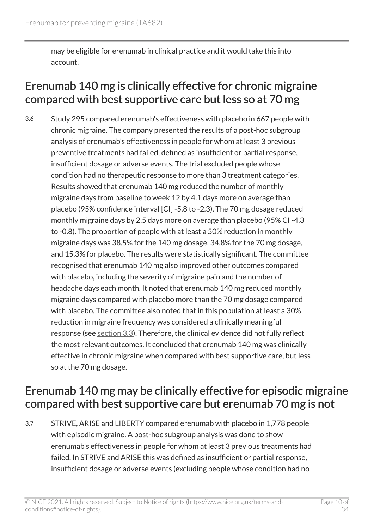may be eligible for erenumab in clinical practice and it would take this into account.

#### <span id="page-9-1"></span>Erenumab 140 mg is clinically effective for chronic migraine compared with best supportive care but less so at 70 mg

3.6 Study 295 compared erenumab's effectiveness with placebo in 667 people with chronic migraine. The company presented the results of a post-hoc subgroup analysis of erenumab's effectiveness in people for whom at least 3 previous preventive treatments had failed, defined as insufficient or partial response, insufficient dosage or adverse events. The trial excluded people whose condition had no therapeutic response to more than 3 treatment categories. Results showed that erenumab 140 mg reduced the number of monthly migraine days from baseline to week 12 by 4.1 days more on average than placebo (95% confidence interval [CI] -5.8 to -2.3). The 70 mg dosage reduced monthly migraine days by 2.5 days more on average than placebo (95% CI -4.3 to -0.8). The proportion of people with at least a 50% reduction in monthly migraine days was 38.5% for the 140 mg dosage, 34.8% for the 70 mg dosage, and 15.3% for placebo. The results were statistically significant. The committee recognised that erenumab 140 mg also improved other outcomes compared with placebo, including the severity of migraine pain and the number of headache days each month. It noted that erenumab 140 mg reduced monthly migraine days compared with placebo more than the 70 mg dosage compared with placebo. The committee also noted that in this population at least a 30% reduction in migraine frequency was considered a clinically meaningful response (see [section](#page-7-2) 3.3). Therefore, the clinical evidence did not fully reflect the most relevant outcomes. It concluded that erenumab 140 mg was clinically effective in chronic migraine when compared with best supportive care, but less so at the 70 mg dosage.

#### <span id="page-9-0"></span>Erenumab 140 mg may be clinically effective for episodic migraine compared with best supportive care but erenumab 70 mg is not

3.7 STRIVE, ARISE and LIBERTY compared erenumab with placebo in 1,778 people with episodic migraine. A post-hoc subgroup analysis was done to show erenumab's effectiveness in people for whom at least 3 previous treatments had failed. In STRIVE and ARISE this was defined as insufficient or partial response, insufficient dosage or adverse events (excluding people whose condition had no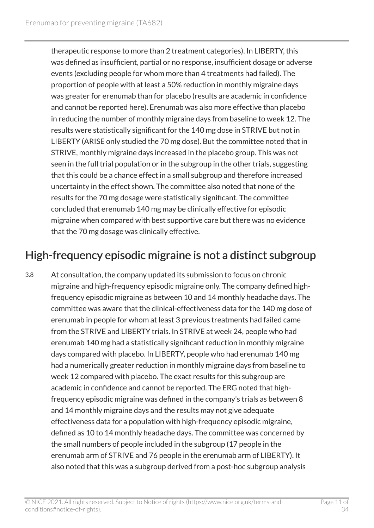therapeutic response to more than 2 treatment categories). In LIBERTY, this was defined as insufficient, partial or no response, insufficient dosage or adverse events (excluding people for whom more than 4 treatments had failed). The proportion of people with at least a 50% reduction in monthly migraine days was greater for erenumab than for placebo (results are academic in confidence and cannot be reported here). Erenumab was also more effective than placebo in reducing the number of monthly migraine days from baseline to week 12. The results were statistically significant for the 140 mg dose in STRIVE but not in LIBERTY (ARISE only studied the 70 mg dose). But the committee noted that in STRIVE, monthly migraine days increased in the placebo group. This was not seen in the full trial population or in the subgroup in the other trials, suggesting that this could be a chance effect in a small subgroup and therefore increased uncertainty in the effect shown. The committee also noted that none of the results for the 70 mg dosage were statistically significant. The committee concluded that erenumab 140 mg may be clinically effective for episodic migraine when compared with best supportive care but there was no evidence that the 70 mg dosage was clinically effective.

### <span id="page-10-0"></span>High-frequency episodic migraine is not a distinct subgroup

3.8 At consultation, the company updated its submission to focus on chronic migraine and high-frequency episodic migraine only. The company defined highfrequency episodic migraine as between 10 and 14 monthly headache days. The committee was aware that the clinical-effectiveness data for the 140 mg dose of erenumab in people for whom at least 3 previous treatments had failed came from the STRIVE and LIBERTY trials. In STRIVE at week 24, people who had erenumab 140 mg had a statistically significant reduction in monthly migraine days compared with placebo. In LIBERTY, people who had erenumab 140 mg had a numerically greater reduction in monthly migraine days from baseline to week 12 compared with placebo. The exact results for this subgroup are academic in confidence and cannot be reported. The ERG noted that highfrequency episodic migraine was defined in the company's trials as between 8 and 14 monthly migraine days and the results may not give adequate effectiveness data for a population with high-frequency episodic migraine, defined as 10 to 14 monthly headache days. The committee was concerned by the small numbers of people included in the subgroup (17 people in the erenumab arm of STRIVE and 76 people in the erenumab arm of LIBERTY). It also noted that this was a subgroup derived from a post-hoc subgroup analysis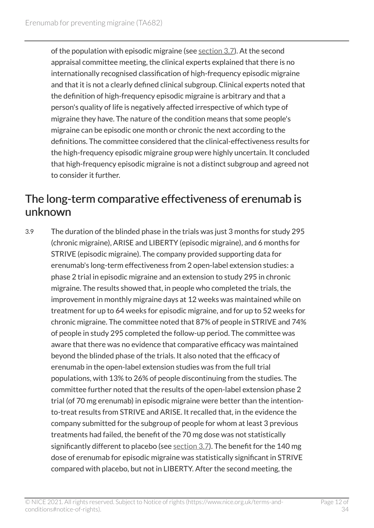of the population with episodic migraine (see [section](#page-9-0) 3.7). At the second appraisal committee meeting, the clinical experts explained that there is no internationally recognised classification of high-frequency episodic migraine and that it is not a clearly defined clinical subgroup. Clinical experts noted that the definition of high-frequency episodic migraine is arbitrary and that a person's quality of life is negatively affected irrespective of which type of migraine they have. The nature of the condition means that some people's migraine can be episodic one month or chronic the next according to the definitions. The committee considered that the clinical-effectiveness results for the high-frequency episodic migraine group were highly uncertain. It concluded that high-frequency episodic migraine is not a distinct subgroup and agreed not to consider it further.

#### <span id="page-11-0"></span>The long-term comparative effectiveness of erenumab is unknown

3.9 The duration of the blinded phase in the trials was just 3 months for study 295 (chronic migraine), ARISE and LIBERTY (episodic migraine), and 6 months for STRIVE (episodic migraine). The company provided supporting data for erenumab's long-term effectiveness from 2 open-label extension studies: a phase 2 trial in episodic migraine and an extension to study 295 in chronic migraine. The results showed that, in people who completed the trials, the improvement in monthly migraine days at 12 weeks was maintained while on treatment for up to 64 weeks for episodic migraine, and for up to 52 weeks for chronic migraine. The committee noted that 87% of people in STRIVE and 74% of people in study 295 completed the follow-up period. The committee was aware that there was no evidence that comparative efficacy was maintained beyond the blinded phase of the trials. It also noted that the efficacy of erenumab in the open-label extension studies was from the full trial populations, with 13% to 26% of people discontinuing from the studies. The committee further noted that the results of the open-label extension phase 2 trial (of 70 mg erenumab) in episodic migraine were better than the intentionto-treat results from STRIVE and ARISE. It recalled that, in the evidence the company submitted for the subgroup of people for whom at least 3 previous treatments had failed, the benefit of the 70 mg dose was not statistically significantly different to placebo (see [section](#page-9-0)  $3.7$ ). The benefit for the 140 mg dose of erenumab for episodic migraine was statistically significant in STRIVE compared with placebo, but not in LIBERTY. After the second meeting, the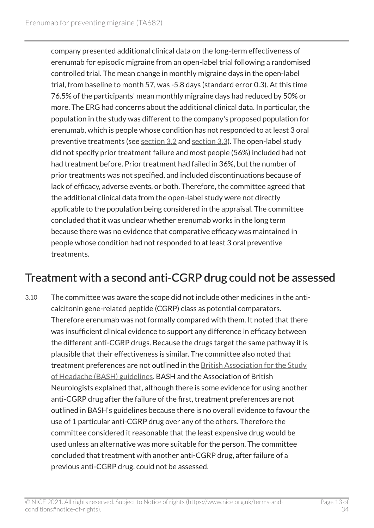company presented additional clinical data on the long-term effectiveness of erenumab for episodic migraine from an open-label trial following a randomised controlled trial. The mean change in monthly migraine days in the open-label trial, from baseline to month 57, was -5.8 days (standard error 0.3). At this time 76.5% of the participants' mean monthly migraine days had reduced by 50% or more. The ERG had concerns about the additional clinical data. In particular, the population in the study was different to the company's proposed population for erenumab, which is people whose condition has not responded to at least 3 oral preventive treatments (see [section](#page-6-2) 3.2 and [section 3.3](#page-7-2)). The open-label study did not specify prior treatment failure and most people (56%) included had not had treatment before. Prior treatment had failed in 36%, but the number of prior treatments was not specified, and included discontinuations because of lack of efficacy, adverse events, or both. Therefore, the committee agreed that the additional clinical data from the open-label study were not directly applicable to the population being considered in the appraisal. The committee concluded that it was unclear whether erenumab works in the long term because there was no evidence that comparative efficacy was maintained in people whose condition had not responded to at least 3 oral preventive treatments.

### Treatment with a second anti-CGRP drug could not be assessed

3.10 The committee was aware the scope did not include other medicines in the anticalcitonin gene-related peptide (CGRP) class as potential comparators. Therefore erenumab was not formally compared with them. It noted that there was insufficient clinical evidence to support any difference in efficacy between the different anti-CGRP drugs. Because the drugs target the same pathway it is plausible that their effectiveness is similar. The committee also noted that treatment preferences are not outlined in the [British Association for the Study](http://www.bash.org.uk/guidelines/) [of Headache \(BASH\) guidelines](http://www.bash.org.uk/guidelines/). BASH and the Association of British Neurologists explained that, although there is some evidence for using another anti-CGRP drug after the failure of the first, treatment preferences are not outlined in BASH's guidelines because there is no overall evidence to favour the use of 1 particular anti-CGRP drug over any of the others. Therefore the committee considered it reasonable that the least expensive drug would be used unless an alternative was more suitable for the person. The committee concluded that treatment with another anti-CGRP drug, after failure of a previous anti-CGRP drug, could not be assessed.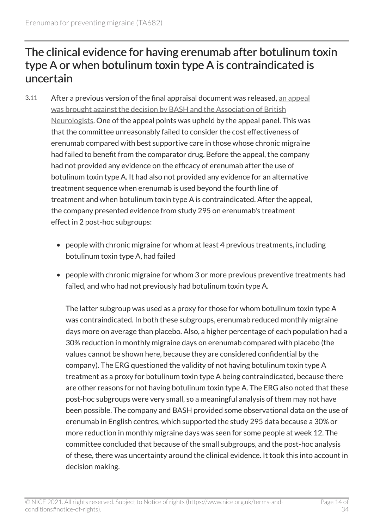#### The clinical evidence for having erenumab after botulinum toxin type A or when botulinum toxin type A is contraindicated is uncertain

- 3.11 After a previous version of the final appraisal document was released, [an appeal](https://www.nice.org.uk/guidance/TA682/history)  [was brought against the decision by BASH and the Association of British](https://www.nice.org.uk/guidance/TA682/history)  [Neurologists.](https://www.nice.org.uk/guidance/TA682/history) One of the appeal points was upheld by the appeal panel. This was that the committee unreasonably failed to consider the cost effectiveness of erenumab compared with best supportive care in those whose chronic migraine had failed to benefit from the comparator drug. Before the appeal, the company had not provided any evidence on the efficacy of erenumab after the use of botulinum toxin type A. It had also not provided any evidence for an alternative treatment sequence when erenumab is used beyond the fourth line of treatment and when botulinum toxin type A is contraindicated. After the appeal, the company presented evidence from study 295 on erenumab's treatment effect in 2 post-hoc subgroups:
	- people with chronic migraine for whom at least 4 previous treatments, including botulinum toxin type A, had failed
	- people with chronic migraine for whom 3 or more previous preventive treatments had failed, and who had not previously had botulinum toxin type A.

The latter subgroup was used as a proxy for those for whom botulinum toxin type A was contraindicated. In both these subgroups, erenumab reduced monthly migraine days more on average than placebo. Also, a higher percentage of each population had a 30% reduction in monthly migraine days on erenumab compared with placebo (the values cannot be shown here, because they are considered confidential by the company). The ERG questioned the validity of not having botulinum toxin type A treatment as a proxy for botulinum toxin type A being contraindicated, because there are other reasons for not having botulinum toxin type A. The ERG also noted that these post-hoc subgroups were very small, so a meaningful analysis of them may not have been possible. The company and BASH provided some observational data on the use of erenumab in English centres, which supported the study 295 data because a 30% or more reduction in monthly migraine days was seen for some people at week 12. The committee concluded that because of the small subgroups, and the post-hoc analysis of these, there was uncertainty around the clinical evidence. It took this into account in decision making.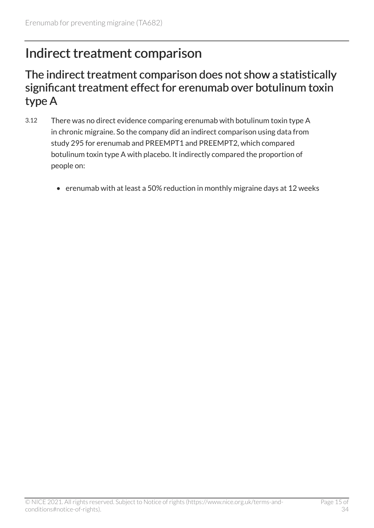### <span id="page-14-0"></span>Indirect treatment comparison

#### <span id="page-14-1"></span>The indirect treatment comparison does not show a statistically significant treatment effect for erenumab over botulinum toxin type A

- 3.12 There was no direct evidence comparing erenumab with botulinum toxin type A in chronic migraine. So the company did an indirect comparison using data from study 295 for erenumab and PREEMPT1 and PREEMPT2, which compared botulinum toxin type A with placebo. It indirectly compared the proportion of people on:
	- erenumab with at least a 50% reduction in monthly migraine days at 12 weeks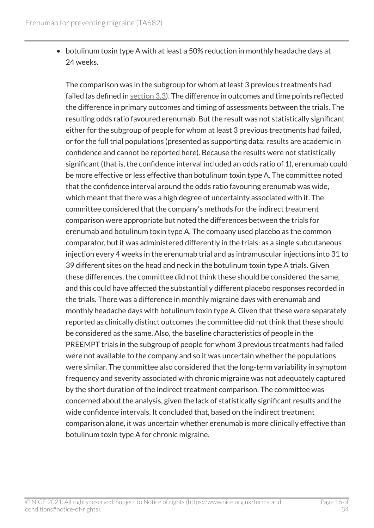• botulinum toxin type A with at least a 50% reduction in monthly headache days at 24 weeks.

The comparison was in the subgroup for whom at least 3 previous treatments had failed (as defined in [section](#page-7-2) 3.3). The difference in outcomes and time points reflected the difference in primary outcomes and timing of assessments between the trials. The resulting odds ratio favoured erenumab. But the result was not statistically significant either for the subgroup of people for whom at least 3 previous treatments had failed, or for the full trial populations (presented as supporting data; results are academic in confidence and cannot be reported here). Because the results were not statistically significant (that is, the confidence interval included an odds ratio of 1), erenumab could be more effective or less effective than botulinum toxin type A. The committee noted that the confidence interval around the odds ratio favouring erenumab was wide, which meant that there was a high degree of uncertainty associated with it. The committee considered that the company's methods for the indirect treatment comparison were appropriate but noted the differences between the trials for erenumab and botulinum toxin type A. The company used placebo as the common comparator, but it was administered differently in the trials: as a single subcutaneous injection every 4 weeks in the erenumab trial and as intramuscular injections into 31 to 39 different sites on the head and neck in the botulinum toxin type A trials. Given these differences, the committee did not think these should be considered the same, and this could have affected the substantially different placebo responses recorded in the trials. There was a difference in monthly migraine days with erenumab and monthly headache days with botulinum toxin type A. Given that these were separately reported as clinically distinct outcomes the committee did not think that these should be considered as the same. Also, the baseline characteristics of people in the PREEMPT trials in the subgroup of people for whom 3 previous treatments had failed were not available to the company and so it was uncertain whether the populations were similar. The committee also considered that the long-term variability in symptom frequency and severity associated with chronic migraine was not adequately captured by the short duration of the indirect treatment comparison. The committee was concerned about the analysis, given the lack of statistically significant results and the wide confidence intervals. It concluded that, based on the indirect treatment comparison alone, it was uncertain whether erenumab is more clinically effective than botulinum toxin type A for chronic migraine.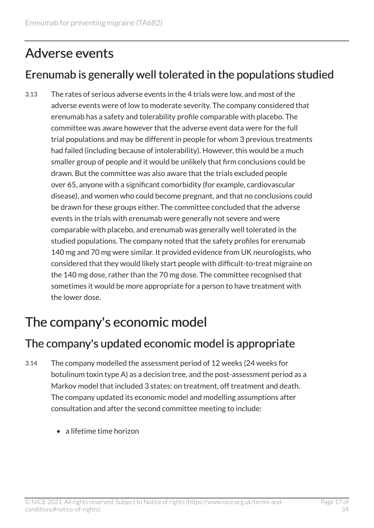## <span id="page-16-0"></span>Adverse events

### Erenumab is generally well tolerated in the populations studied

3.13 The rates of serious adverse events in the 4 trials were low, and most of the adverse events were of low to moderate severity. The company considered that erenumab has a safety and tolerability profile comparable with placebo. The committee was aware however that the adverse event data were for the full trial populations and may be different in people for whom 3 previous treatments had failed (including because of intolerability). However, this would be a much smaller group of people and it would be unlikely that firm conclusions could be drawn. But the committee was also aware that the trials excluded people over 65, anyone with a significant comorbidity (for example, cardiovascular disease), and women who could become pregnant, and that no conclusions could be drawn for these groups either. The committee concluded that the adverse events in the trials with erenumab were generally not severe and were comparable with placebo, and erenumab was generally well tolerated in the studied populations. The company noted that the safety profiles for erenumab 140 mg and 70 mg were similar. It provided evidence from UK neurologists, who considered that they would likely start people with difficult-to-treat migraine on the 140 mg dose, rather than the 70 mg dose. The committee recognised that sometimes it would be more appropriate for a person to have treatment with the lower dose.

## <span id="page-16-1"></span>The company's economic model

#### The company's updated economic model is appropriate

- 3.14 The company modelled the assessment period of 12 weeks (24 weeks for botulinum toxin type A) as a decision tree, and the post-assessment period as a Markov model that included 3 states: on treatment, off treatment and death. The company updated its economic model and modelling assumptions after consultation and after the second committee meeting to include:
	- a lifetime time horizon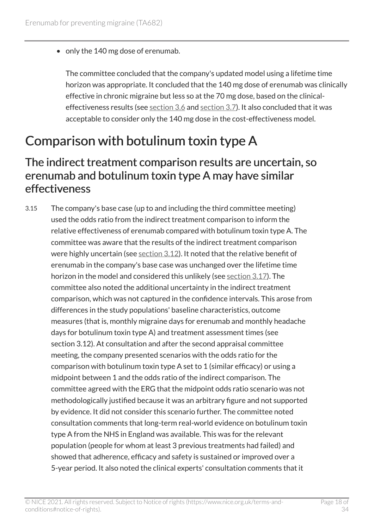• only the 140 mg dose of erenumab.

The committee concluded that the company's updated model using a lifetime time horizon was appropriate. It concluded that the 140 mg dose of erenumab was clinically effective in chronic migraine but less so at the 70 mg dose, based on the clinicaleffectiveness results (see [section](#page-9-1) 3.6 and [section 3.7\)](#page-9-0). It also concluded that it was acceptable to consider only the 140 mg dose in the cost-effectiveness model.

## <span id="page-17-0"></span>Comparison with botulinum toxin type A

#### The indirect treatment comparison results are uncertain, so erenumab and botulinum toxin type A may have similar effectiveness

3.15 The company's base case (up to and including the third committee meeting) used the odds ratio from the indirect treatment comparison to inform the relative effectiveness of erenumab compared with botulinum toxin type A. The committee was aware that the results of the indirect treatment comparison were highly uncertain (see [section](#page-14-1) 3.12). It noted that the relative benefit of erenumab in the company's base case was unchanged over the lifetime time horizon in the model and considered this unlikely (see [section](#page-19-1) 3.17). The committee also noted the additional uncertainty in the indirect treatment comparison, which was not captured in the confidence intervals. This arose from differences in the study populations' baseline characteristics, outcome measures (that is, monthly migraine days for erenumab and monthly headache days for botulinum toxin type A) and treatment assessment times (see section 3.12). At consultation and after the second appraisal committee meeting, the company presented scenarios with the odds ratio for the comparison with botulinum toxin type A set to 1 (similar efficacy) or using a midpoint between 1 and the odds ratio of the indirect comparison. The committee agreed with the ERG that the midpoint odds ratio scenario was not methodologically justified because it was an arbitrary figure and not supported by evidence. It did not consider this scenario further. The committee noted consultation comments that long-term real-world evidence on botulinum toxin type A from the NHS in England was available. This was for the relevant population (people for whom at least 3 previous treatments had failed) and showed that adherence, efficacy and safety is sustained or improved over a 5-year period. It also noted the clinical experts' consultation comments that it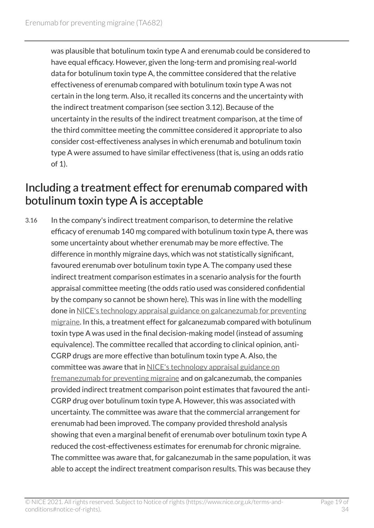was plausible that botulinum toxin type A and erenumab could be considered to have equal efficacy. However, given the long-term and promising real-world data for botulinum toxin type A, the committee considered that the relative effectiveness of erenumab compared with botulinum toxin type A was not certain in the long term. Also, it recalled its concerns and the uncertainty with the indirect treatment comparison (see section 3.12). Because of the uncertainty in the results of the indirect treatment comparison, at the time of the third committee meeting the committee considered it appropriate to also consider cost-effectiveness analyses in which erenumab and botulinum toxin type A were assumed to have similar effectiveness (that is, using an odds ratio of 1).

#### <span id="page-18-0"></span>Including a treatment effect for erenumab compared with botulinum toxin type A is acceptable

3.16 In the company's indirect treatment comparison, to determine the relative efficacy of erenumab 140 mg compared with botulinum toxin type A, there was some uncertainty about whether erenumab may be more effective. The difference in monthly migraine days, which was not statistically significant, favoured erenumab over botulinum toxin type A. The company used these indirect treatment comparison estimates in a scenario analysis for the fourth appraisal committee meeting (the odds ratio used was considered confidential by the company so cannot be shown here). This was in line with the modelling done in [NICE's technology appraisal guidance on galcanezumab for preventing](https://www.nice.org.uk/guidance/ta659)  [migraine](https://www.nice.org.uk/guidance/ta659). In this, a treatment effect for galcanezumab compared with botulinum toxin type A was used in the final decision-making model (instead of assuming equivalence). The committee recalled that according to clinical opinion, anti-CGRP drugs are more effective than botulinum toxin type A. Also, the committee was aware that in [NICE's technology appraisal guidance on](https://www.nice.org.uk/guidance/ta631) [fremanezumab for preventing migraine](https://www.nice.org.uk/guidance/ta631) and on galcanezumab, the companies provided indirect treatment comparison point estimates that favoured the anti-CGRP drug over botulinum toxin type A. However, this was associated with uncertainty. The committee was aware that the commercial arrangement for erenumab had been improved. The company provided threshold analysis showing that even a marginal benefit of erenumab over botulinum toxin type A reduced the cost-effectiveness estimates for erenumab for chronic migraine. The committee was aware that, for galcanezumab in the same population, it was able to accept the indirect treatment comparison results. This was because they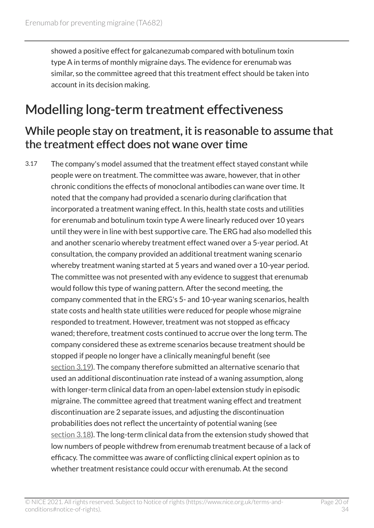showed a positive effect for galcanezumab compared with botulinum toxin type A in terms of monthly migraine days. The evidence for erenumab was similar, so the committee agreed that this treatment effect should be taken into account in its decision making.

### <span id="page-19-0"></span>Modelling long-term treatment effectiveness

#### <span id="page-19-1"></span>While people stay on treatment, it is reasonable to assume that the treatment effect does not wane over time

3.17 The company's model assumed that the treatment effect stayed constant while people were on treatment. The committee was aware, however, that in other chronic conditions the effects of monoclonal antibodies can wane over time. It noted that the company had provided a scenario during clarification that incorporated a treatment waning effect. In this, health state costs and utilities for erenumab and botulinum toxin type A were linearly reduced over 10 years until they were in line with best supportive care. The ERG had also modelled this and another scenario whereby treatment effect waned over a 5-year period. At consultation, the company provided an additional treatment waning scenario whereby treatment waning started at 5 years and waned over a 10-year period. The committee was not presented with any evidence to suggest that erenumab would follow this type of waning pattern. After the second meeting, the company commented that in the ERG's 5- and 10-year waning scenarios, health state costs and health state utilities were reduced for people whose migraine responded to treatment. However, treatment was not stopped as efficacy waned; therefore, treatment costs continued to accrue over the long term. The company considered these as extreme scenarios because treatment should be stopped if people no longer have a clinically meaningful benefit (see [section](#page-20-0) 3.19). The company therefore submitted an alternative scenario that used an additional discontinuation rate instead of a waning assumption, along with longer-term clinical data from an open-label extension study in episodic migraine. The committee agreed that treatment waning effect and treatment discontinuation are 2 separate issues, and adjusting the discontinuation probabilities does not reflect the uncertainty of potential waning (see [section](#page-20-1) 3.18). The long-term clinical data from the extension study showed that low numbers of people withdrew from erenumab treatment because of a lack of efficacy. The committee was aware of conflicting clinical expert opinion as to whether treatment resistance could occur with erenumab. At the second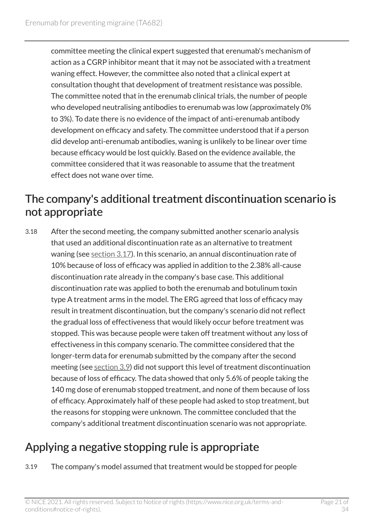committee meeting the clinical expert suggested that erenumab's mechanism of action as a CGRP inhibitor meant that it may not be associated with a treatment waning effect. However, the committee also noted that a clinical expert at consultation thought that development of treatment resistance was possible. The committee noted that in the erenumab clinical trials, the number of people who developed neutralising antibodies to erenumab was low (approximately 0% to 3%). To date there is no evidence of the impact of anti-erenumab antibody development on efficacy and safety. The committee understood that if a person did develop anti-erenumab antibodies, waning is unlikely to be linear over time because efficacy would be lost quickly. Based on the evidence available, the committee considered that it was reasonable to assume that the treatment effect does not wane over time.

#### <span id="page-20-1"></span>The company's additional treatment discontinuation scenario is not appropriate

3.18 After the second meeting, the company submitted another scenario analysis that used an additional discontinuation rate as an alternative to treatment waning (see [section](#page-19-1) 3.17). In this scenario, an annual discontinuation rate of 10% because of loss of efficacy was applied in addition to the 2.38% all-cause discontinuation rate already in the company's base case. This additional discontinuation rate was applied to both the erenumab and botulinum toxin type A treatment arms in the model. The ERG agreed that loss of efficacy may result in treatment discontinuation, but the company's scenario did not reflect the gradual loss of effectiveness that would likely occur before treatment was stopped. This was because people were taken off treatment without any loss of effectiveness in this company scenario. The committee considered that the longer-term data for erenumab submitted by the company after the second meeting (see [section](#page-11-0) 3.9) did not support this level of treatment discontinuation because of loss of efficacy. The data showed that only 5.6% of people taking the 140 mg dose of erenumab stopped treatment, and none of them because of loss of efficacy. Approximately half of these people had asked to stop treatment, but the reasons for stopping were unknown. The committee concluded that the company's additional treatment discontinuation scenario was not appropriate.

### <span id="page-20-0"></span>Applying a negative stopping rule is appropriate

3.19 The company's model assumed that treatment would be stopped for people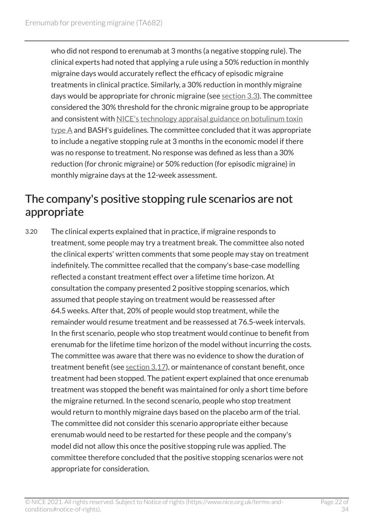who did not respond to erenumab at 3 months (a negative stopping rule). The clinical experts had noted that applying a rule using a 50% reduction in monthly migraine days would accurately reflect the efficacy of episodic migraine treatments in clinical practice. Similarly, a 30% reduction in monthly migraine days would be appropriate for chronic migraine (see [section](#page-7-2) 3.3). The committee considered the 30% threshold for the chronic migraine group to be appropriate and consistent with [NICE's technology appraisal guidance on botulinum toxin](https://www.nice.org.uk/guidance/ta260) [type](https://www.nice.org.uk/guidance/ta260) A and BASH's guidelines. The committee concluded that it was appropriate to include a negative stopping rule at 3 months in the economic model if there was no response to treatment. No response was defined as less than a 30% reduction (for chronic migraine) or 50% reduction (for episodic migraine) in monthly migraine days at the 12-week assessment.

### The company's positive stopping rule scenarios are not appropriate

3.20 The clinical experts explained that in practice, if migraine responds to treatment, some people may try a treatment break. The committee also noted the clinical experts' written comments that some people may stay on treatment indefinitely. The committee recalled that the company's base-case modelling reflected a constant treatment effect over a lifetime time horizon. At consultation the company presented 2 positive stopping scenarios, which assumed that people staying on treatment would be reassessed after 64.5 weeks. After that, 20% of people would stop treatment, while the remainder would resume treatment and be reassessed at 76.5-week intervals. In the first scenario, people who stop treatment would continue to benefit from erenumab for the lifetime time horizon of the model without incurring the costs. The committee was aware that there was no evidence to show the duration of treatment benefit (see [section](#page-19-1) 3.17), or maintenance of constant benefit, once treatment had been stopped. The patient expert explained that once erenumab treatment was stopped the benefit was maintained for only a short time before the migraine returned. In the second scenario, people who stop treatment would return to monthly migraine days based on the placebo arm of the trial. The committee did not consider this scenario appropriate either because erenumab would need to be restarted for these people and the company's model did not allow this once the positive stopping rule was applied. The committee therefore concluded that the positive stopping scenarios were not appropriate for consideration.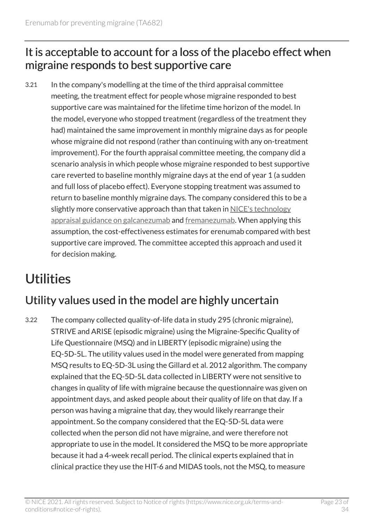### <span id="page-22-1"></span>It is acceptable to account for a loss of the placebo effect when migraine responds to best supportive care

3.21 In the company's modelling at the time of the third appraisal committee meeting, the treatment effect for people whose migraine responded to best supportive care was maintained for the lifetime time horizon of the model. In the model, everyone who stopped treatment (regardless of the treatment they had) maintained the same improvement in monthly migraine days as for people whose migraine did not respond (rather than continuing with any on-treatment improvement). For the fourth appraisal committee meeting, the company did a scenario analysis in which people whose migraine responded to best supportive care reverted to baseline monthly migraine days at the end of year 1 (a sudden and full loss of placebo effect). Everyone stopping treatment was assumed to return to baseline monthly migraine days. The company considered this to be a slightly more conservative approach than that taken in [NICE's technology](https://www.nice.org.uk/guidance/ta659) [appraisal guidance on galcanezumab](https://www.nice.org.uk/guidance/ta659) and [fremanezumab](https://www.nice.org.uk/guidance/ta631). When applying this assumption, the cost-effectiveness estimates for erenumab compared with best supportive care improved. The committee accepted this approach and used it for decision making.

# <span id="page-22-0"></span>**Utilities**

### Utility values used in the model are highly uncertain

3.22 The company collected quality-of-life data in study 295 (chronic migraine), STRIVE and ARISE (episodic migraine) using the Migraine-Specific Quality of Life Questionnaire (MSQ) and in LIBERTY (episodic migraine) using the EQ-5D-5L. The utility values used in the model were generated from mapping MSQ results to EQ-5D-3L using the Gillard et al. 2012 algorithm. The company explained that the EQ-5D-5L data collected in LIBERTY were not sensitive to changes in quality of life with migraine because the questionnaire was given on appointment days, and asked people about their quality of life on that day. If a person was having a migraine that day, they would likely rearrange their appointment. So the company considered that the EQ-5D-5L data were collected when the person did not have migraine, and were therefore not appropriate to use in the model. It considered the MSQ to be more appropriate because it had a 4-week recall period. The clinical experts explained that in clinical practice they use the HIT-6 and MIDAS tools, not the MSQ, to measure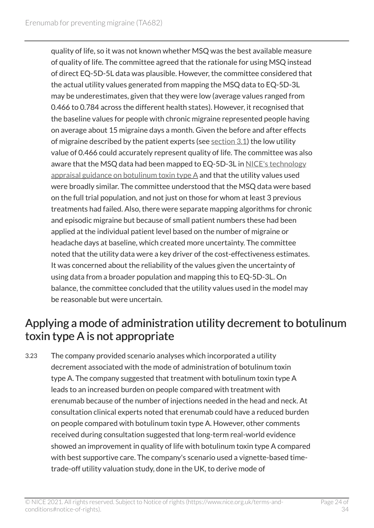quality of life, so it was not known whether MSQ was the best available measure of quality of life. The committee agreed that the rationale for using MSQ instead of direct EQ-5D-5L data was plausible. However, the committee considered that the actual utility values generated from mapping the MSQ data to EQ-5D-3L may be underestimates, given that they were low (average values ranged from 0.466 to 0.784 across the different health states). However, it recognised that the baseline values for people with chronic migraine represented people having on average about 15 migraine days a month. Given the before and after effects of migraine described by the patient experts (see [section](#page-6-3)  $3.1$ ) the low utility value of 0.466 could accurately represent quality of life. The committee was also aware that the MSQ data had been mapped to EQ-5D-3L in NICE's technology [appraisal guidance on botulinum toxin type](https://www.nice.org.uk/guidance/ta260) A and that the utility values used were broadly similar. The committee understood that the MSQ data were based on the full trial population, and not just on those for whom at least 3 previous treatments had failed. Also, there were separate mapping algorithms for chronic and episodic migraine but because of small patient numbers these had been applied at the individual patient level based on the number of migraine or headache days at baseline, which created more uncertainty. The committee noted that the utility data were a key driver of the cost-effectiveness estimates. It was concerned about the reliability of the values given the uncertainty of using data from a broader population and mapping this to EQ-5D-3L. On balance, the committee concluded that the utility values used in the model may be reasonable but were uncertain.

#### Applying a mode of administration utility decrement to botulinum toxin type A is not appropriate

3.23 The company provided scenario analyses which incorporated a utility decrement associated with the mode of administration of botulinum toxin type A. The company suggested that treatment with botulinum toxin type A leads to an increased burden on people compared with treatment with erenumab because of the number of injections needed in the head and neck. At consultation clinical experts noted that erenumab could have a reduced burden on people compared with botulinum toxin type A. However, other comments received during consultation suggested that long-term real-world evidence showed an improvement in quality of life with botulinum toxin type A compared with best supportive care. The company's scenario used a vignette-based timetrade-off utility valuation study, done in the UK, to derive mode of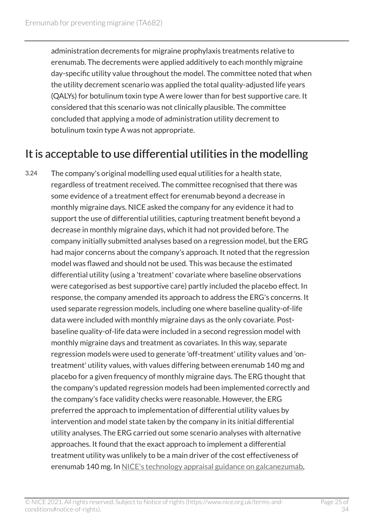administration decrements for migraine prophylaxis treatments relative to erenumab. The decrements were applied additively to each monthly migraine day-specific utility value throughout the model. The committee noted that when the utility decrement scenario was applied the total quality-adjusted life years (QALYs) for botulinum toxin type A were lower than for best supportive care. It considered that this scenario was not clinically plausible. The committee concluded that applying a mode of administration utility decrement to botulinum toxin type A was not appropriate.

### <span id="page-24-0"></span>It is acceptable to use differential utilities in the modelling

3.24 The company's original modelling used equal utilities for a health state, regardless of treatment received. The committee recognised that there was some evidence of a treatment effect for erenumab beyond a decrease in monthly migraine days. NICE asked the company for any evidence it had to support the use of differential utilities, capturing treatment benefit beyond a decrease in monthly migraine days, which it had not provided before. The company initially submitted analyses based on a regression model, but the ERG had major concerns about the company's approach. It noted that the regression model was flawed and should not be used. This was because the estimated differential utility (using a 'treatment' covariate where baseline observations were categorised as best supportive care) partly included the placebo effect. In response, the company amended its approach to address the ERG's concerns. It used separate regression models, including one where baseline quality-of-life data were included with monthly migraine days as the only covariate. Postbaseline quality-of-life data were included in a second regression model with monthly migraine days and treatment as covariates. In this way, separate regression models were used to generate 'off-treatment' utility values and 'ontreatment' utility values, with values differing between erenumab 140 mg and placebo for a given frequency of monthly migraine days. The ERG thought that the company's updated regression models had been implemented correctly and the company's face validity checks were reasonable. However, the ERG preferred the approach to implementation of differential utility values by intervention and model state taken by the company in its initial differential utility analyses. The ERG carried out some scenario analyses with alternative approaches. It found that the exact approach to implement a differential treatment utility was unlikely to be a main driver of the cost effectiveness of erenumab 140 mg. In [NICE's technology appraisal guidance on galcanezumab](https://www.nice.org.uk/guidance/ta659),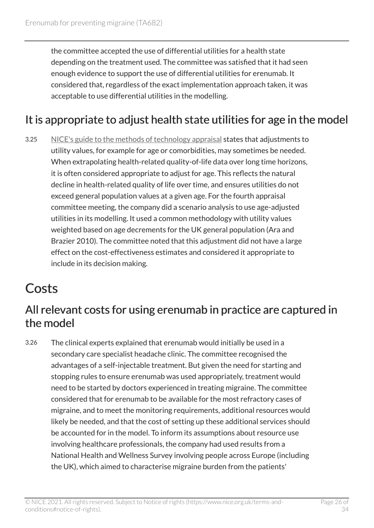the committee accepted the use of differential utilities for a health state depending on the treatment used. The committee was satisfied that it had seen enough evidence to support the use of differential utilities for erenumab. It considered that, regardless of the exact implementation approach taken, it was acceptable to use differential utilities in the modelling.

### <span id="page-25-2"></span>It is appropriate to adjust health state utilities for age in the model

3.25 [NICE's guide to the methods of technology appraisal](https://www.nice.org.uk/process/pmg9/) states that adjustments to utility values, for example for age or comorbidities, may sometimes be needed. When extrapolating health-related quality-of-life data over long time horizons, it is often considered appropriate to adjust for age. This reflects the natural decline in health-related quality of life over time, and ensures utilities do not exceed general population values at a given age. For the fourth appraisal committee meeting, the company did a scenario analysis to use age-adjusted utilities in its modelling. It used a common methodology with utility values weighted based on age decrements for the UK general population (Ara and Brazier 2010). The committee noted that this adjustment did not have a large effect on the cost-effectiveness estimates and considered it appropriate to include in its decision making.

### <span id="page-25-0"></span>**Costs**

#### <span id="page-25-1"></span>All relevant costs for using erenumab in practice are captured in the model

3.26 The clinical experts explained that erenumab would initially be used in a secondary care specialist headache clinic. The committee recognised the advantages of a self-injectable treatment. But given the need for starting and stopping rules to ensure erenumab was used appropriately, treatment would need to be started by doctors experienced in treating migraine. The committee considered that for erenumab to be available for the most refractory cases of migraine, and to meet the monitoring requirements, additional resources would likely be needed, and that the cost of setting up these additional services should be accounted for in the model. To inform its assumptions about resource use involving healthcare professionals, the company had used results from a National Health and Wellness Survey involving people across Europe (including the UK), which aimed to characterise migraine burden from the patients'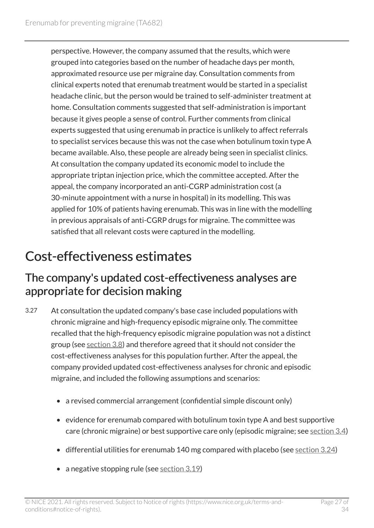perspective. However, the company assumed that the results, which were grouped into categories based on the number of headache days per month, approximated resource use per migraine day. Consultation comments from clinical experts noted that erenumab treatment would be started in a specialist headache clinic, but the person would be trained to self-administer treatment at home. Consultation comments suggested that self-administration is important because it gives people a sense of control. Further comments from clinical experts suggested that using erenumab in practice is unlikely to affect referrals to specialist services because this was not the case when botulinum toxin type A became available. Also, these people are already being seen in specialist clinics. At consultation the company updated its economic model to include the appropriate triptan injection price, which the committee accepted. After the appeal, the company incorporated an anti-CGRP administration cost (a 30-minute appointment with a nurse in hospital) in its modelling. This was applied for 10% of patients having erenumab. This was in line with the modelling in previous appraisals of anti-CGRP drugs for migraine. The committee was satisfied that all relevant costs were captured in the modelling.

## <span id="page-26-0"></span>Cost-effectiveness estimates

#### The company's updated cost-effectiveness analyses are appropriate for decision making

- 3.27 At consultation the updated company's base case included populations with chronic migraine and high-frequency episodic migraine only. The committee recalled that the high-frequency episodic migraine population was not a distinct group (see [section](#page-10-0) 3.8) and therefore agreed that it should not consider the cost-effectiveness analyses for this population further. After the appeal, the company provided updated cost-effectiveness analyses for chronic and episodic migraine, and included the following assumptions and scenarios:
	- a revised commercial arrangement (confidential simple discount only)
	- evidence for erenumab compared with botulinum toxin type A and best supportive care (chronic migraine) or best supportive care only (episodic migraine; see [section](#page-7-3) 3.4)
	- differential utilities for erenumab 140 mg compared with placebo (see [section](#page-24-0) 3.24)
	- a negative stopping rule (see [section](#page-20-0) 3.19)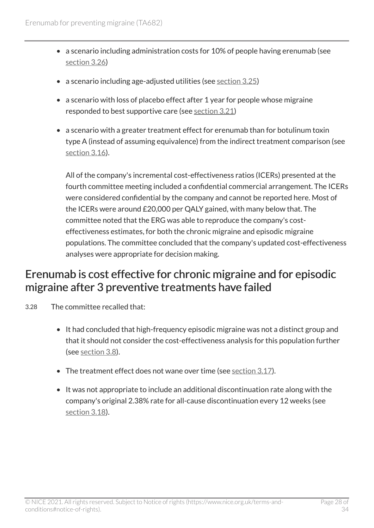- a scenario including administration costs for 10% of people having erenumab (see [section](#page-25-1) 3.26)
- a scenario including age-adjusted utilities (see [section](#page-25-2) 3.25)
- a scenario with loss of placebo effect after 1 year for people whose migraine responded to best supportive care (see [section](#page-22-1) 3.21)
- a scenario with a greater treatment effect for erenumab than for botulinum toxin type A (instead of assuming equivalence) from the indirect treatment comparison (see [section](#page-18-0) 3.16).

All of the company's incremental cost-effectiveness ratios (ICERs) presented at the fourth committee meeting included a confidential commercial arrangement. The ICERs were considered confidential by the company and cannot be reported here. Most of the ICERs were around £20,000 per QALY gained, with many below that. The committee noted that the ERG was able to reproduce the company's costeffectiveness estimates, for both the chronic migraine and episodic migraine populations. The committee concluded that the company's updated cost-effectiveness analyses were appropriate for decision making.

#### Erenumab is cost effective for chronic migraine and for episodic migraine after 3 preventive treatments have failed

- 3.28 The committee recalled that:
	- It had concluded that high-frequency episodic migraine was not a distinct group and that it should not consider the cost-effectiveness analysis for this population further (see [section](#page-10-0) 3.8).
	- The treatment effect does not wane over time (see [section](#page-19-1) 3.17).
	- It was not appropriate to include an additional discontinuation rate along with the company's original 2.38% rate for all-cause discontinuation every 12 weeks (see [section](#page-20-1) 3.18).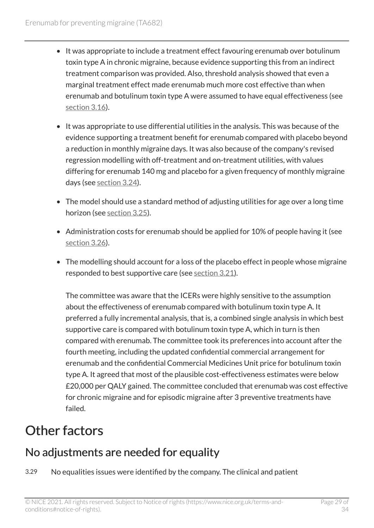- It was appropriate to include a treatment effect favouring erenumab over botulinum toxin type A in chronic migraine, because evidence supporting this from an indirect treatment comparison was provided. Also, threshold analysis showed that even a marginal treatment effect made erenumab much more cost effective than when erenumab and botulinum toxin type A were assumed to have equal effectiveness (see [section](#page-18-0) 3.16).
- It was appropriate to use differential utilities in the analysis. This was because of the evidence supporting a treatment benefit for erenumab compared with placebo beyond a reduction in monthly migraine days. It was also because of the company's revised regression modelling with off-treatment and on-treatment utilities, with values differing for erenumab 140 mg and placebo for a given frequency of monthly migraine days (see [section](#page-24-0) 3.24).
- The model should use a standard method of adjusting utilities for age over a long time horizon (see [section](#page-25-2) 3.25).
- Administration costs for erenumab should be applied for 10% of people having it (see [section](#page-25-1) 3.26).
- The modelling should account for a loss of the placebo effect in people whose migraine responded to best supportive care (see [section](#page-22-1) 3.21).

The committee was aware that the ICERs were highly sensitive to the assumption about the effectiveness of erenumab compared with botulinum toxin type A. It preferred a fully incremental analysis, that is, a combined single analysis in which best supportive care is compared with botulinum toxin type A, which in turn is then compared with erenumab. The committee took its preferences into account after the fourth meeting, including the updated confidential commercial arrangement for erenumab and the confidential Commercial Medicines Unit price for botulinum toxin type A. It agreed that most of the plausible cost-effectiveness estimates were below £20,000 per QALY gained. The committee concluded that erenumab was cost effective for chronic migraine and for episodic migraine after 3 preventive treatments have failed.

## <span id="page-28-0"></span>Other factors

### No adjustments are needed for equality

3.29 No equalities issues were identified by the company. The clinical and patient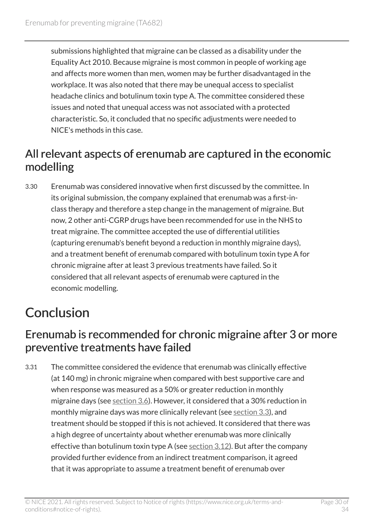submissions highlighted that migraine can be classed as a disability under the Equality Act 2010. Because migraine is most common in people of working age and affects more women than men, women may be further disadvantaged in the workplace. It was also noted that there may be unequal access to specialist headache clinics and botulinum toxin type A. The committee considered these issues and noted that unequal access was not associated with a protected characteristic. So, it concluded that no specific adjustments were needed to NICE's methods in this case.

#### All relevant aspects of erenumab are captured in the economic modelling

3.30 Erenumab was considered innovative when first discussed by the committee. In its original submission, the company explained that erenumab was a first-inclass therapy and therefore a step change in the management of migraine. But now, 2 other anti-CGRP drugs have been recommended for use in the NHS to treat migraine. The committee accepted the use of differential utilities (capturing erenumab's benefit beyond a reduction in monthly migraine days), and a treatment benefit of erenumab compared with botulinum toxin type A for chronic migraine after at least 3 previous treatments have failed. So it considered that all relevant aspects of erenumab were captured in the economic modelling.

# <span id="page-29-0"></span>**Conclusion**

#### Erenumab is recommended for chronic migraine after 3 or more preventive treatments have failed

3.31 The committee considered the evidence that erenumab was clinically effective (at 140 mg) in chronic migraine when compared with best supportive care and when response was measured as a 50% or greater reduction in monthly migraine days (see [section](#page-9-1) 3.6). However, it considered that a 30% reduction in monthly migraine days was more clinically relevant (see [section](#page-7-2) 3.3), and treatment should be stopped if this is not achieved. It considered that there was a high degree of uncertainty about whether erenumab was more clinically effective than botulinum toxin type A (see [section](#page-14-1)  $3.12$ ). But after the company provided further evidence from an indirect treatment comparison, it agreed that it was appropriate to assume a treatment benefit of erenumab over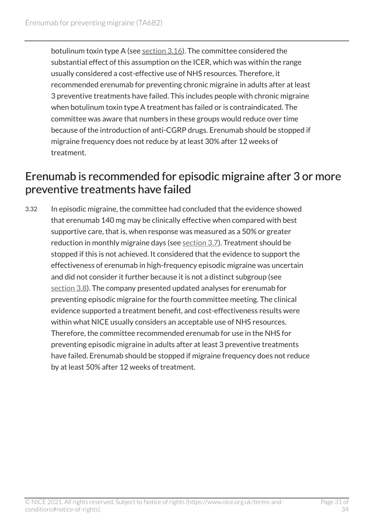botulinum toxin type A (see [section](#page-18-0) 3.16). The committee considered the substantial effect of this assumption on the ICER, which was within the range usually considered a cost-effective use of NHS resources. Therefore, it recommended erenumab for preventing chronic migraine in adults after at least 3 preventive treatments have failed. This includes people with chronic migraine when botulinum toxin type A treatment has failed or is contraindicated. The committee was aware that numbers in these groups would reduce over time because of the introduction of anti-CGRP drugs. Erenumab should be stopped if migraine frequency does not reduce by at least 30% after 12 weeks of treatment.

#### Erenumab is recommended for episodic migraine after 3 or more preventive treatments have failed

3.32 In episodic migraine, the committee had concluded that the evidence showed that erenumab 140 mg may be clinically effective when compared with best supportive care, that is, when response was measured as a 50% or greater reduction in monthly migraine days (see [section](#page-9-0) 3.7). Treatment should be stopped if this is not achieved. It considered that the evidence to support the effectiveness of erenumab in high-frequency episodic migraine was uncertain and did not consider it further because it is not a distinct subgroup (see [section](#page-10-0) 3.8). The company presented updated analyses for erenumab for preventing episodic migraine for the fourth committee meeting. The clinical evidence supported a treatment benefit, and cost-effectiveness results were within what NICE usually considers an acceptable use of NHS resources. Therefore, the committee recommended erenumab for use in the NHS for preventing episodic migraine in adults after at least 3 preventive treatments have failed. Erenumab should be stopped if migraine frequency does not reduce by at least 50% after 12 weeks of treatment.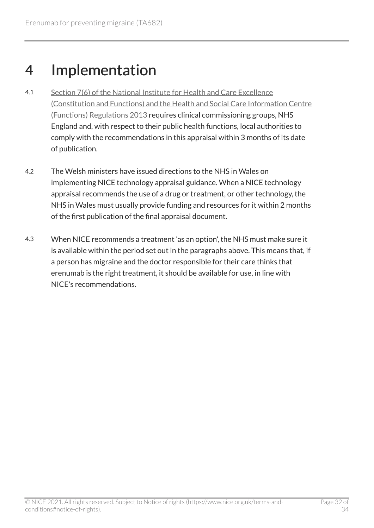# <span id="page-31-0"></span>4 Implementation

- 4.1 [Section 7\(6\) of the National Institute for Health and Care Excellence](http://www.legislation.gov.uk/uksi/2013/259/contents/made)  [\(Constitution and Functions\) and the Health and Social Care Information Centre](http://www.legislation.gov.uk/uksi/2013/259/contents/made)  [\(Functions\) Regulations 2013](http://www.legislation.gov.uk/uksi/2013/259/contents/made) requires clinical commissioning groups, NHS England and, with respect to their public health functions, local authorities to comply with the recommendations in this appraisal within 3 months of its date of publication.
- 4.2 The Welsh ministers have issued directions to the NHS in Wales on implementing NICE technology appraisal guidance. When a NICE technology appraisal recommends the use of a drug or treatment, or other technology, the NHS in Wales must usually provide funding and resources for it within 2 months of the first publication of the final appraisal document.
- 4.3 When NICE recommends a treatment 'as an option', the NHS must make sure it is available within the period set out in the paragraphs above. This means that, if a person has migraine and the doctor responsible for their care thinks that erenumab is the right treatment, it should be available for use, in line with NICE's recommendations.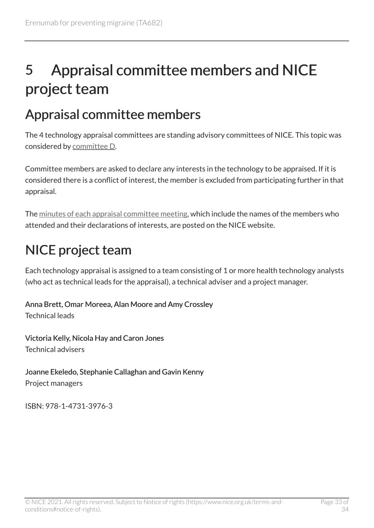# <span id="page-32-0"></span>5 Appraisal committee members and NICE project team

## <span id="page-32-1"></span>Appraisal committee members

The 4 technology appraisal committees are standing advisory committees of NICE. This topic was considered by [committee D](https://www.nice.org.uk/get-involved/meetings-in-public/technology-appraisal-committee/committee-d-members).

Committee members are asked to declare any interests in the technology to be appraised. If it is considered there is a conflict of interest, the member is excluded from participating further in that appraisal.

The [minutes of each appraisal committee meeting](https://www.nice.org.uk/get-involved/meetings-in-public/technology-appraisal-committee), which include the names of the members who attended and their declarations of interests, are posted on the NICE website.

# <span id="page-32-2"></span>NICE project team

Each technology appraisal is assigned to a team consisting of 1 or more health technology analysts (who act as technical leads for the appraisal), a technical adviser and a project manager.

#### Anna Brett, Omar Moreea, Alan Moore and Amy Crossley

Technical leads

Victoria Kelly, Nicola Hay and Caron Jones Technical advisers

#### Joanne Ekeledo, Stephanie Callaghan and Gavin Kenny

Project managers

ISBN: 978-1-4731-3976-3